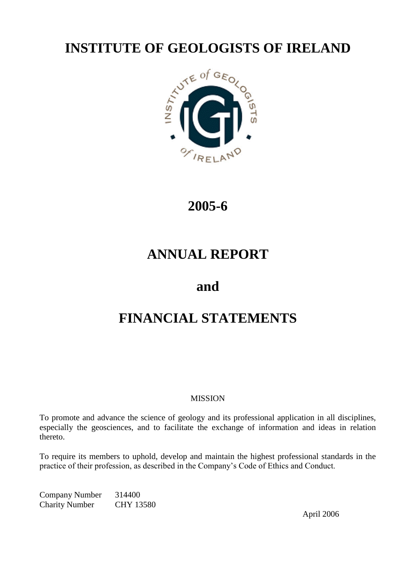

# **2005-6**

# **ANNUAL REPORT**

# **and**

# **FINANCIAL STATEMENTS**

# **MISSION**

To promote and advance the science of geology and its professional application in all disciplines, especially the geosciences, and to facilitate the exchange of information and ideas in relation thereto.

To require its members to uphold, develop and maintain the highest professional standards in the practice of their profession, as described in the Company's Code of Ethics and Conduct.

Company Number 314400 Charity Number CHY 13580

April 2006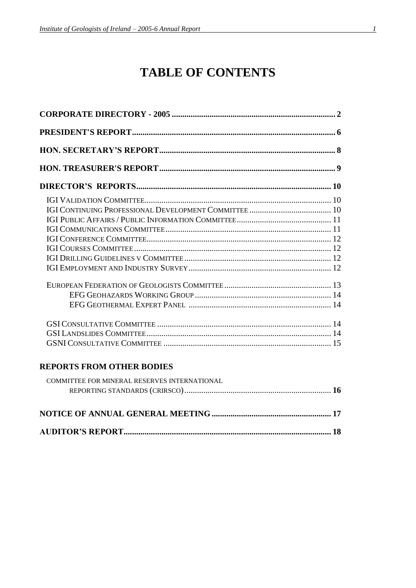# **TABLE OF CONTENTS**

| <b>REPORTS FROM OTHER BODIES</b>             |
|----------------------------------------------|
| COMMITTEE FOR MINERAL RESERVES INTERNATIONAL |
|                                              |
|                                              |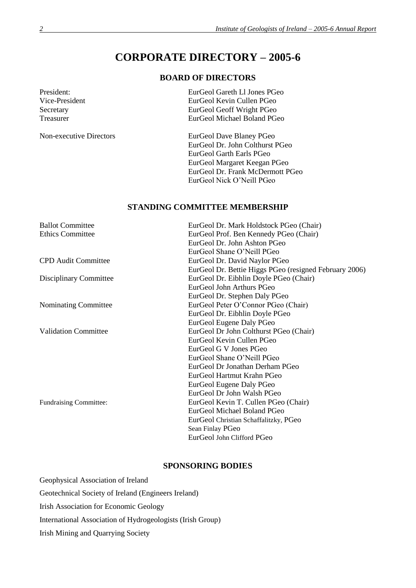# **CORPORATE DIRECTORY – 2005-6**

# **BOARD OF DIRECTORS**

| President:     | EurGeol Gareth L1 Jones PGeo |
|----------------|------------------------------|
| Vice-President | EurGeol Kevin Cullen PGeo    |
| Secretary      | EurGeol Geoff Wright PGeo    |
| Treasurer      | EurGeol Michael Boland PGeo  |
|                |                              |

Non-executive Directors EurGeol Dave Blaney PGeo EurGeol Dr. John Colthurst PGeo EurGeol Garth Earls PGeo EurGeol Margaret Keegan PGeo EurGeol Dr. Frank McDermott PGeo EurGeol Nick O'Neill PGeo

# **STANDING COMMITTEE MEMBERSHIP**

| <b>Ballot Committee</b>       | EurGeol Dr. Mark Holdstock PGeo (Chair)                |  |
|-------------------------------|--------------------------------------------------------|--|
| <b>Ethics Committee</b>       | EurGeol Prof. Ben Kennedy PGeo (Chair)                 |  |
|                               | EurGeol Dr. John Ashton PGeo                           |  |
|                               | EurGeol Shane O'Neill PGeo                             |  |
| <b>CPD</b> Audit Committee    | EurGeol Dr. David Naylor PGeo                          |  |
|                               | EurGeol Dr. Bettie Higgs PGeo (resigned February 2006) |  |
| Disciplinary Committee        | EurGeol Dr. Eibhlin Doyle PGeo (Chair)                 |  |
|                               | EurGeol John Arthurs PGeo                              |  |
|                               | EurGeol Dr. Stephen Daly PGeo                          |  |
| Nominating Committee          | EurGeol Peter O'Connor PGeo (Chair)                    |  |
|                               | EurGeol Dr. Eibhlin Doyle PGeo                         |  |
|                               | EurGeol Eugene Daly PGeo                               |  |
| <b>Validation Committee</b>   | EurGeol Dr John Colthurst PGeo (Chair)                 |  |
|                               | EurGeol Kevin Cullen PGeo                              |  |
|                               | EurGeol G V Jones PGeo                                 |  |
|                               | EurGeol Shane O'Neill PGeo                             |  |
|                               | EurGeol Dr Jonathan Derham PGeo                        |  |
|                               | EurGeol Hartmut Krahn PGeo                             |  |
|                               | EurGeol Eugene Daly PGeo                               |  |
|                               | EurGeol Dr John Walsh PGeo                             |  |
| <b>Fundraising Committee:</b> | EurGeol Kevin T. Cullen PGeo (Chair)                   |  |
|                               | EurGeol Michael Boland PGeo                            |  |
|                               | EurGeol Christian Schaffalitzky, PGeo                  |  |
|                               | Sean Finlay PGeo                                       |  |
|                               | EurGeol John Clifford PGeo                             |  |
|                               |                                                        |  |

# **SPONSORING BODIES**

| Geophysical Association of Ireland                         |
|------------------------------------------------------------|
| Geotechnical Society of Ireland (Engineers Ireland)        |
| <b>Irish Association for Economic Geology</b>              |
| International Association of Hydrogeologists (Irish Group) |
| Irish Mining and Quarrying Society                         |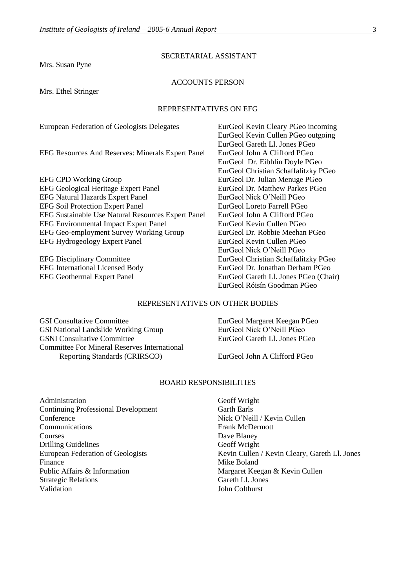Mrs. Susan Pyne

### SECRETARIAL ASSISTANT

#### ACCOUNTS PERSON

Mrs. Ethel Stringer

#### REPRESENTATIVES ON EFG

European Federation of Geologists Delegates EurGeol Kevin Cleary PGeo incoming

EFG Resources And Reserves: Minerals Expert Panel EurGeol John A Clifford PGeo

EFG CPD Working Group EurGeol Dr. Julian Menuge PGeo EFG Geological Heritage Expert Panel EurGeol Dr. Matthew Parkes PGeo EFG Natural Hazards Expert Panel EurGeol Nick O'Neill PGeo EFG Soil Protection Expert Panel EurGeol Loreto Farrell PGeo EFG Sustainable Use Natural Resources Expert Panel EurGeol John A Clifford PGeo EFG Environmental Impact Expert Panel EurGeol Kevin Cullen PGeo<br>
EFG Geo-employment Survey Working Group EurGeol Dr. Robbie Meehan PGeo EFG Geo-employment Survey Working Group EFG Hydrogeology Expert Panel EurGeol Kevin Cullen PGeo

EurGeol Kevin Cullen PGeo outgoing EurGeol Gareth Ll. Jones PGeo EurGeol Dr. Eibhlín Doyle PGeo EurGeol Christian Schaffalitzky PGeo EurGeol Nick O'Neill PGeo EFG Disciplinary Committee EurGeol Christian Schaffalitzky PGeo EFG International Licensed Body EurGeol Dr. Jonathan Derham PGeo EFG Geothermal Expert Panel EurGeol Gareth Ll. Jones PGeo (Chair) EurGeol Róisín Goodman PGeo

#### REPRESENTATIVES ON OTHER BODIES

GSI Consultative Committee **EurGeol Margaret Keegan PGeo** GSI National Landslide Working Group EurGeol Nick O'Neill PGeo GSNI Consultative Committee EurGeol Gareth Ll. Jones PGeo Committee For Mineral Reserves International Reporting Standards (CRIRSCO) EurGeol John A Clifford PGeo

#### BOARD RESPONSIBILITIES

Administration Geoff Wright Continuing Professional Development Garth Earls Conference Nick O'Neill / Kevin Cullen Communications Frank McDermott Courses Dave Blaney Drilling Guidelines Geoff Wright Finance Mike Boland Public Affairs & Information Margaret Keegan & Kevin Cullen Strategic Relations Gareth Ll. Jones Validation John Colthurst

European Federation of Geologists Kevin Cullen / Kevin Cleary, Gareth Ll. Jones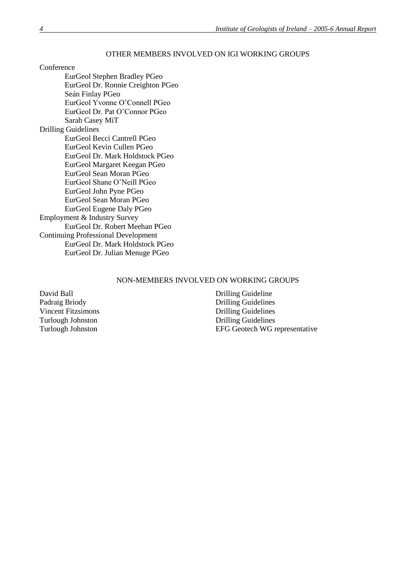#### OTHER MEMBERS INVOLVED ON IGI WORKING GROUPS

Conference

EurGeol Stephen Bradley PGeo EurGeol Dr. Ronnie Creighton PGeo Seán Finlay PGeo EurGeol Yvonne O'Connell PGeo EurGeol Dr. Pat O'Connor PGeo Sarah Casey MiT Drilling Guidelines EurGeol Becci Cantrell PGeo EurGeol Kevin Cullen PGeo EurGeol Dr. Mark Holdstock PGeo EurGeol Margaret Keegan PGeo EurGeol Sean Moran PGeo EurGeol Shane O'Neill PGeo EurGeol John Pyne PGeo EurGeol Sean Moran PGeo EurGeol Eugene Daly PGeo Employment & Industry Survey EurGeol Dr. Robert Meehan PGeo Continuing Professional Development EurGeol Dr. Mark Holdstock PGeo EurGeol Dr. Julian Menuge PGeo

#### NON-MEMBERS INVOLVED ON WORKING GROUPS

Vincent Fitzsimons

David Ball Drilling Guideline Padraig Briody<br>
Vincent Fitzsimons<br>
Vincent Fitzsimons<br>
Prilling Guidelines Turlough Johnston Drilling Guidelines<br>Turlough Johnston BFG Geotech WG r EFG Geotech WG representative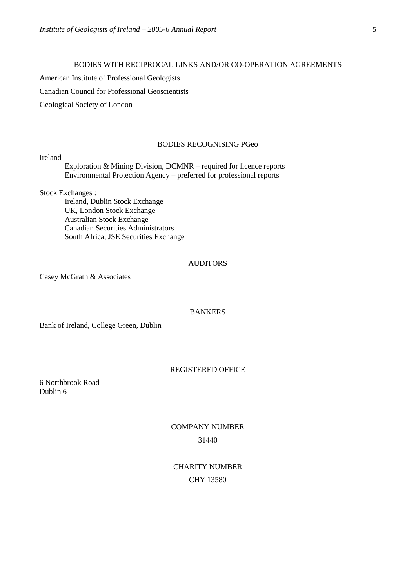#### BODIES WITH RECIPROCAL LINKS AND/OR CO-OPERATION AGREEMENTS

American Institute of Professional Geologists

Canadian Council for Professional Geoscientists

Geological Society of London

#### BODIES RECOGNISING PGeo

#### Ireland

Exploration & Mining Division, DCMNR – required for licence reports Environmental Protection Agency – preferred for professional reports

Stock Exchanges :

Ireland, Dublin Stock Exchange UK, London Stock Exchange Australian Stock Exchange Canadian Securities Administrators South Africa, JSE Securities Exchange

## AUDITORS

Casey McGrath & Associates

#### **BANKERS**

Bank of Ireland, College Green, Dublin

#### REGISTERED OFFICE

6 Northbrook Road Dublin 6

# COMPANY NUMBER 31440

CHARITY NUMBER CHY 13580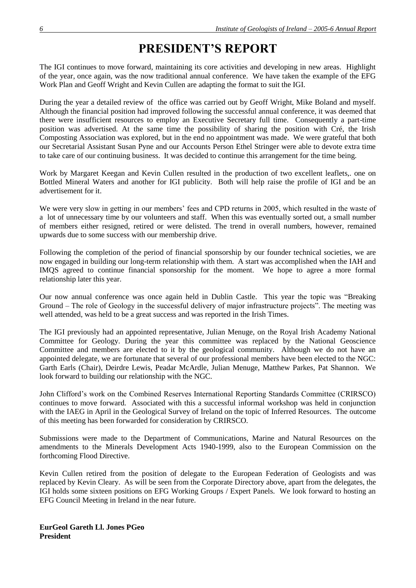# **PRESIDENT'S REPORT**

The IGI continues to move forward, maintaining its core activities and developing in new areas. Highlight of the year, once again, was the now traditional annual conference. We have taken the example of the EFG Work Plan and Geoff Wright and Kevin Cullen are adapting the format to suit the IGI.

During the year a detailed review of the office was carried out by Geoff Wright, Mike Boland and myself. Although the financial position had improved following the successful annual conference, it was deemed that there were insufficient resources to employ an Executive Secretary full time. Consequently a part-time position was advertised. At the same time the possibility of sharing the position with Cré, the Irish Composting Association was explored, but in the end no appointment was made. We were grateful that both our Secretarial Assistant Susan Pyne and our Accounts Person Ethel Stringer were able to devote extra time to take care of our continuing business. It was decided to continue this arrangement for the time being.

Work by Margaret Keegan and Kevin Cullen resulted in the production of two excellent leaflets,. one on Bottled Mineral Waters and another for IGI publicity. Both will help raise the profile of IGI and be an advertisement for it.

We were very slow in getting in our members' fees and CPD returns in 2005, which resulted in the waste of a lot of unnecessary time by our volunteers and staff. When this was eventually sorted out, a small number of members either resigned, retired or were delisted. The trend in overall numbers, however, remained upwards due to some success with our membership drive.

Following the completion of the period of financial sponsorship by our founder technical societies, we are now engaged in building our long-term relationship with them. A start was accomplished when the IAH and IMQS agreed to continue financial sponsorship for the moment. We hope to agree a more formal relationship later this year.

Our now annual conference was once again held in Dublin Castle. This year the topic was "Breaking Ground – The role of Geology in the successful delivery of major infrastructure projects". The meeting was well attended, was held to be a great success and was reported in the Irish Times.

The IGI previously had an appointed representative, Julian Menuge, on the Royal Irish Academy National Committee for Geology. During the year this committee was replaced by the National Geoscience Committee and members are elected to it by the geological community. Although we do not have an appointed delegate, we are fortunate that several of our professional members have been elected to the NGC: Garth Earls (Chair), Deirdre Lewis, Peadar McArdle, Julian Menuge, Matthew Parkes, Pat Shannon. We look forward to building our relationship with the NGC.

John Clifford's work on the Combined Reserves International Reporting Standards Committee (CRIRSCO) continues to move forward. Associated with this a successful informal workshop was held in conjunction with the IAEG in April in the Geological Survey of Ireland on the topic of Inferred Resources. The outcome of this meeting has been forwarded for consideration by CRIRSCO.

Submissions were made to the Department of Communications, Marine and Natural Resources on the amendments to the Minerals Development Acts 1940-1999, also to the European Commission on the forthcoming Flood Directive.

Kevin Cullen retired from the position of delegate to the European Federation of Geologists and was replaced by Kevin Cleary. As will be seen from the Corporate Directory above, apart from the delegates, the IGI holds some sixteen positions on EFG Working Groups / Expert Panels. We look forward to hosting an EFG Council Meeting in Ireland in the near future.

**EurGeol Gareth Ll. Jones PGeo President**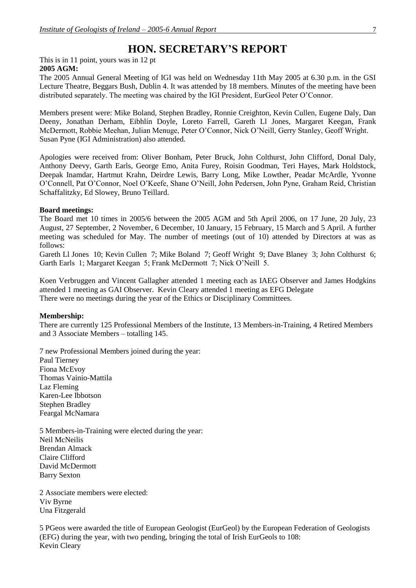# **HON. SECRETARY'S REPORT**

This is in 11 point, yours was in 12 pt **2005 AGM:**

The 2005 Annual General Meeting of IGI was held on Wednesday 11th May 2005 at 6.30 p.m. in the GSI Lecture Theatre, Beggars Bush, Dublin 4. It was attended by 18 members. Minutes of the meeting have been distributed separately. The meeting was chaired by the IGI President, EurGeol Peter O'Connor.

Members present were: Mike Boland, Stephen Bradley, Ronnie Creighton, Kevin Cullen, Eugene Daly, Dan Deeny, Jonathan Derham, Eibhlín Doyle, Loreto Farrell, Gareth Ll Jones, Margaret Keegan, Frank McDermott, Robbie Meehan, Julian Menuge, Peter O'Connor, Nick O'Neill, Gerry Stanley, Geoff Wright. Susan Pyne (IGI Administration) also attended.

Apologies were received from: Oliver Bonham, Peter Bruck, John Colthurst, John Clifford, Donal Daly, Anthony Deevy, Garth Earls, George Emo, Anita Furey, Roisin Goodman, Teri Hayes, Mark Holdstock, Deepak Inamdar, Hartmut Krahn, Deirdre Lewis, Barry Long, Mike Lowther, Peadar McArdle, Yvonne O'Connell, Pat O'Connor, Noel O'Keefe, Shane O'Neill, John Pedersen, John Pyne, Graham Reid, Christian Schaffalitzky, Ed Slowey, Bruno Teillard.

#### **Board meetings:**

The Board met 10 times in 2005/6 between the 2005 AGM and 5th April 2006, on 17 June, 20 July, 23 August, 27 September, 2 November, 6 December, 10 January, 15 February, 15 March and 5 April. A further meeting was scheduled for May. The number of meetings (out of 10) attended by Directors at was as follows:

Gareth Ll Jones 10; Kevin Cullen 7; Mike Boland 7; Geoff Wright 9; Dave Blaney 3; John Colthurst 6; Garth Earls 1; Margaret Keegan 5; Frank McDermott 7; Nick O'Neill 5.

Koen Verbruggen and Vincent Gallagher attended 1 meeting each as IAEG Observer and James Hodgkins attended 1 meeting as GAI Observer. Kevin Cleary attended 1 meeting as EFG Delegate There were no meetings during the year of the Ethics or Disciplinary Committees.

#### **Membership:**

There are currently 125 Professional Members of the Institute, 13 Members-in-Training, 4 Retired Members and 3 Associate Members – totalling 145.

7 new Professional Members joined during the year:

Paul Tierney Fiona McEvoy Thomas Vainio-Mattila Laz Fleming Karen-Lee Ibbotson Stephen Bradley Feargal McNamara

5 Members-in-Training were elected during the year: Neil McNeilis Brendan Almack Claire Clifford David McDermott Barry Sexton

2 Associate members were elected: Viv Byrne Una Fitzgerald

5 PGeos were awarded the title of European Geologist (EurGeol) by the European Federation of Geologists (EFG) during the year, with two pending, bringing the total of Irish EurGeols to 108: Kevin Cleary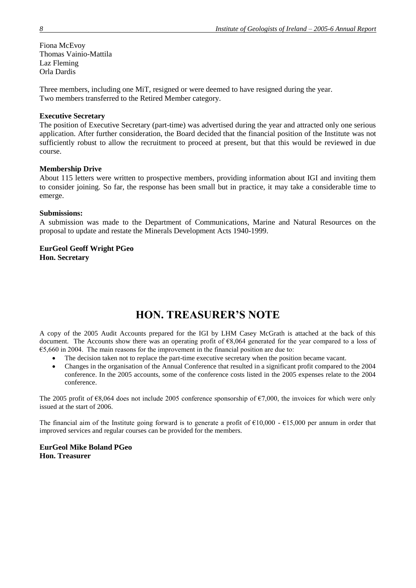Fiona McEvoy Thomas Vainio-Mattila Laz Fleming Orla Dardis

Three members, including one MiT, resigned or were deemed to have resigned during the year. Two members transferred to the Retired Member category.

#### **Executive Secretary**

The position of Executive Secretary (part-time) was advertised during the year and attracted only one serious application. After further consideration, the Board decided that the financial position of the Institute was not sufficiently robust to allow the recruitment to proceed at present, but that this would be reviewed in due course.

#### **Membership Drive**

About 115 letters were written to prospective members, providing information about IGI and inviting them to consider joining. So far, the response has been small but in practice, it may take a considerable time to emerge.

#### **Submissions:**

A submission was made to the Department of Communications, Marine and Natural Resources on the proposal to update and restate the Minerals Development Acts 1940-1999.

#### **EurGeol Geoff Wright PGeo Hon. Secretary**

# **HON. TREASURER'S NOTE**

A copy of the 2005 Audit Accounts prepared for the IGI by LHM Casey McGrath is attached at the back of this document. The Accounts show there was an operating profit of €8,064 generated for the year compared to a loss of €5,660 in 2004. The main reasons for the improvement in the financial position are due to:

- The decision taken not to replace the part-time executive secretary when the position became vacant.
- Changes in the organisation of the Annual Conference that resulted in a significant profit compared to the 2004 conference. In the 2005 accounts, some of the conference costs listed in the 2005 expenses relate to the 2004 conference.

The 2005 profit of  $\epsilon$ 8,064 does not include 2005 conference sponsorship of  $\epsilon$ 7,000, the invoices for which were only issued at the start of 2006.

The financial aim of the Institute going forward is to generate a profit of  $\epsilon$ 10,000 -  $\epsilon$ 15,000 per annum in order that improved services and regular courses can be provided for the members.

### **EurGeol Mike Boland PGeo Hon. Treasurer**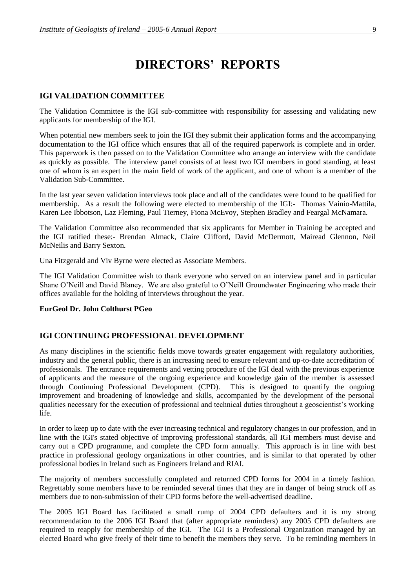# **DIRECTORS' REPORTS**

## **IGI VALIDATION COMMITTEE**

The Validation Committee is the IGI sub-committee with responsibility for assessing and validating new applicants for membership of the IGI.

When potential new members seek to join the IGI they submit their application forms and the accompanying documentation to the IGI office which ensures that all of the required paperwork is complete and in order. This paperwork is then passed on to the Validation Committee who arrange an interview with the candidate as quickly as possible. The interview panel consists of at least two IGI members in good standing, at least one of whom is an expert in the main field of work of the applicant, and one of whom is a member of the Validation Sub-Committee.

In the last year seven validation interviews took place and all of the candidates were found to be qualified for membership. As a result the following were elected to membership of the IGI:- Thomas Vainio-Mattila, Karen Lee Ibbotson, Laz Fleming, Paul Tierney, Fiona McEvoy, Stephen Bradley and Feargal McNamara.

The Validation Committee also recommended that six applicants for Member in Training be accepted and the IGI ratified these:- Brendan Almack, Claire Clifford, David McDermott, Mairead Glennon, Neil McNeilis and Barry Sexton.

Una Fitzgerald and Viv Byrne were elected as Associate Members.

The IGI Validation Committee wish to thank everyone who served on an interview panel and in particular Shane O'Neill and David Blaney. We are also grateful to O'Neill Groundwater Engineering who made their offices available for the holding of interviews throughout the year.

#### **EurGeol Dr. John Colthurst PGeo**

#### **IGI CONTINUING PROFESSIONAL DEVELOPMENT**

As many disciplines in the scientific fields move towards greater engagement with regulatory authorities, industry and the general public, there is an increasing need to ensure relevant and up-to-date accreditation of professionals. The entrance requirements and vetting procedure of the IGI deal with the previous experience of applicants and the measure of the ongoing experience and knowledge gain of the member is assessed through Continuing Professional Development (CPD). This is designed to quantify the ongoing improvement and broadening of knowledge and skills, accompanied by the development of the personal qualities necessary for the execution of professional and technical duties throughout a geoscientist's working life.

In order to keep up to date with the ever increasing technical and regulatory changes in our profession, and in line with the IGI's stated objective of improving professional standards, all IGI members must devise and carry out a CPD programme, and complete the CPD form annually. This approach is in line with best practice in professional geology organizations in other countries, and is similar to that operated by other professional bodies in Ireland such as Engineers Ireland and RIAI.

The majority of members successfully completed and returned CPD forms for 2004 in a timely fashion. Regrettably some members have to be reminded several times that they are in danger of being struck off as members due to non-submission of their CPD forms before the well-advertised deadline.

The 2005 IGI Board has facilitated a small rump of 2004 CPD defaulters and it is my strong recommendation to the 2006 IGI Board that (after appropriate reminders) any 2005 CPD defaulters are required to reapply for membership of the IGI. The IGI is a Professional Organization managed by an elected Board who give freely of their time to benefit the members they serve. To be reminding members in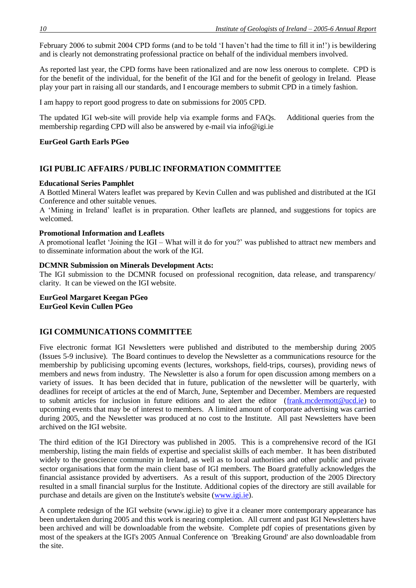February 2006 to submit 2004 CPD forms (and to be told 'I haven't had the time to fill it in!') is bewildering and is clearly not demonstrating professional practice on behalf of the individual members involved.

As reported last year, the CPD forms have been rationalized and are now less onerous to complete. CPD is for the benefit of the individual, for the benefit of the IGI and for the benefit of geology in Ireland. Please play your part in raising all our standards, and I encourage members to submit CPD in a timely fashion.

I am happy to report good progress to date on submissions for 2005 CPD.

The updated IGI web-site will provide help via example forms and FAQs. Additional queries from the membership regarding CPD will also be answered by e-mail via info@igi.ie

#### **EurGeol Garth Earls PGeo**

### **IGI PUBLIC AFFAIRS / PUBLIC INFORMATION COMMITTEE**

#### **Educational Series Pamphlet**

A Bottled Mineral Waters leaflet was prepared by Kevin Cullen and was published and distributed at the IGI Conference and other suitable venues.

A 'Mining in Ireland' leaflet is in preparation. Other leaflets are planned, and suggestions for topics are welcomed.

#### **Promotional Information and Leaflets**

A promotional leaflet 'Joining the IGI – What will it do for you?' was published to attract new members and to disseminate information about the work of the IGI.

#### **DCMNR Submission on Minerals Development Acts:**

The IGI submission to the DCMNR focused on professional recognition, data release, and transparency/ clarity. It can be viewed on the IGI website.

**EurGeol Margaret Keegan PGeo EurGeol Kevin Cullen PGeo**

#### **IGI COMMUNICATIONS COMMITTEE**

Five electronic format IGI Newsletters were published and distributed to the membership during 2005 (Issues 5-9 inclusive). The Board continues to develop the Newsletter as a communications resource for the membership by publicising upcoming events (lectures, workshops, field-trips, courses), providing news of members and news from industry. The Newsletter is also a forum for open discussion among members on a variety of issues. It has been decided that in future, publication of the newsletter will be quarterly, with deadlines for receipt of articles at the end of March, June, September and December. Members are requested to submit articles for inclusion in future editions and to alert the editor (frank.mcdermott@ucd.ie) to upcoming events that may be of interest to members. A limited amount of corporate advertising was carried during 2005, and the Newsletter was produced at no cost to the Institute. All past Newsletters have been archived on the IGI website.

The third edition of the IGI Directory was published in 2005. This is a comprehensive record of the IGI membership, listing the main fields of expertise and specialist skills of each member. It has been distributed widely to the geoscience community in Ireland, as well as to local authorities and other public and private sector organisations that form the main client base of IGI members. The Board gratefully acknowledges the financial assistance provided by advertisers. As a result of this support, production of the 2005 Directory resulted in a small financial surplus for the Institute. Additional copies of the directory are still available for purchase and details are given on the Institute's website (www.igi.ie).

A complete redesign of the IGI website (www.igi.ie) to give it a cleaner more contemporary appearance has been undertaken during 2005 and this work is nearing completion. All current and past IGI Newsletters have been archived and will be downloadable from the website. Complete pdf copies of presentations given by most of the speakers at the IGI's 2005 Annual Conference on 'Breaking Ground' are also downloadable from the site.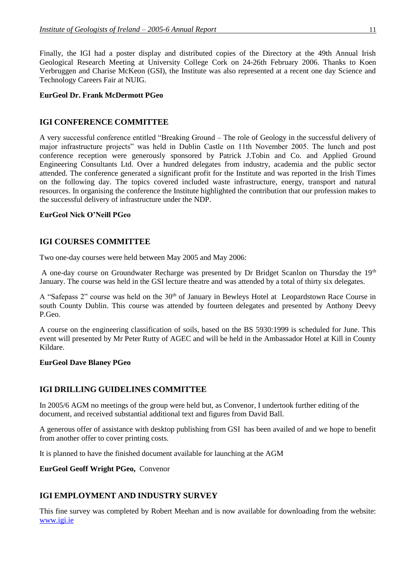Finally, the IGI had a poster display and distributed copies of the Directory at the 49th Annual Irish Geological Research Meeting at University College Cork on 24-26th February 2006. Thanks to Koen Verbruggen and Charise McKeon (GSI), the Institute was also represented at a recent one day Science and Technology Careers Fair at NUIG.

#### **EurGeol Dr. Frank McDermott PGeo**

### **IGI CONFERENCE COMMITTEE**

A very successful conference entitled "Breaking Ground – The role of Geology in the successful delivery of major infrastructure projects" was held in Dublin Castle on 11th November 2005. The lunch and post conference reception were generously sponsored by Patrick J.Tobin and Co. and Applied Ground Engineering Consultants Ltd. Over a hundred delegates from industry, academia and the public sector attended. The conference generated a significant profit for the Institute and was reported in the Irish Times on the following day. The topics covered included waste infrastructure, energy, transport and natural resources. In organising the conference the Institute highlighted the contribution that our profession makes to the successful delivery of infrastructure under the NDP.

#### **EurGeol Nick O'Neill PGeo**

#### **IGI COURSES COMMITTEE**

Two one-day courses were held between May 2005 and May 2006:

A one-day course on Groundwater Recharge was presented by Dr Bridget Scanlon on Thursday the 19th January. The course was held in the GSI lecture theatre and was attended by a total of thirty six delegates.

A "Safepass 2" course was held on the 30<sup>th</sup> of January in Bewleys Hotel at Leopardstown Race Course in south County Dublin. This course was attended by fourteen delegates and presented by Anthony Deevy P.Geo.

A course on the engineering classification of soils, based on the BS 5930:1999 is scheduled for June. This event will presented by Mr Peter Rutty of AGEC and will be held in the Ambassador Hotel at Kill in County Kildare.

#### **EurGeol Dave Blaney PGeo**

#### **IGI DRILLING GUIDELINES COMMITTEE**

In 2005/6 AGM no meetings of the group were held but, as Convenor, I undertook further editing of the document, and received substantial additional text and figures from David Ball.

A generous offer of assistance with desktop publishing from GSI has been availed of and we hope to benefit from another offer to cover printing costs.

It is planned to have the finished document available for launching at the AGM

#### **EurGeol Geoff Wright PGeo,** Convenor

### **IGI EMPLOYMENT AND INDUSTRY SURVEY**

This fine survey was completed by Robert Meehan and is now available for downloading from the website: [www.igi.ie](http://www.igi.ie/)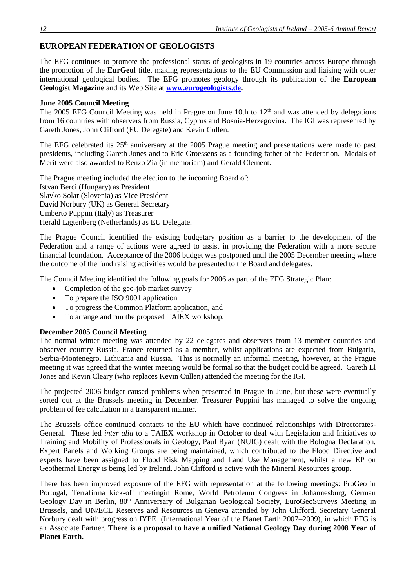# **EUROPEAN FEDERATION OF GEOLOGISTS**

The EFG continues to promote the professional status of geologists in 19 countries across Europe through the promotion of the **EurGeol** title, making representations to the EU Commission and liaising with other international geological bodies. The EFG promotes geology through its publication of the **European Geologist Magazine** and its Web Site at **[www.eurogeologists.de.](http://www.eurogeologists.de/)**

### **June 2005 Council Meeting**

The 2005 EFG Council Meeting was held in Prague on June 10th to  $12<sup>th</sup>$  and was attended by delegations from 16 countries with observers from Russia, Cyprus and Bosnia-Herzegovina. The IGI was represented by Gareth Jones, John Clifford (EU Delegate) and Kevin Cullen.

The EFG celebrated its 25<sup>th</sup> anniversary at the 2005 Prague meeting and presentations were made to past presidents, including Gareth Jones and to Eric Groessens as a founding father of the Federation. Medals of Merit were also awarded to Renzo Zia (in memoriam) and Gerald Clement.

The Prague meeting included the election to the incoming Board of: Istvan Berci (Hungary) as President Slavko Solar (Slovenia) as Vice President David Norbury (UK) as General Secretary Umberto Puppini (Italy) as Treasurer Herald Ligtenberg (Netherlands) as EU Delegate.

The Prague Council identified the existing budgetary position as a barrier to the development of the Federation and a range of actions were agreed to assist in providing the Federation with a more secure financial foundation. Acceptance of the 2006 budget was postponed until the 2005 December meeting where the outcome of the fund raising activities would be presented to the Board and delegates.

The Council Meeting identified the following goals for 2006 as part of the EFG Strategic Plan:

- Completion of the geo-job market survey
- To prepare the ISO 9001 application
- To progress the Common Platform application, and
- To arrange and run the proposed TAIEX workshop.

#### **December 2005 Council Meeting**

The normal winter meeting was attended by 22 delegates and observers from 13 member countries and observer country Russia. France returned as a member, whilst applications are expected from Bulgaria, Serbia-Montenegro, Lithuania and Russia. This is normally an informal meeting, however, at the Prague meeting it was agreed that the winter meeting would be formal so that the budget could be agreed. Gareth Ll Jones and Kevin Cleary (who replaces Kevin Cullen) attended the meeting for the IGI.

The projected 2006 budget caused problems when presented in Prague in June, but these were eventually sorted out at the Brussels meeting in December. Treasurer Puppini has managed to solve the ongoing problem of fee calculation in a transparent manner.

The Brussels office continued contacts to the EU which have continued relationships with Directorates-General. These led *inter alia* to a TAIEX workshop in October to deal with Legislation and Initiatives to Training and Mobility of Professionals in Geology, Paul Ryan (NUIG) dealt with the Bologna Declaration. Expert Panels and Working Groups are being maintained, which contributed to the Flood Directive and experts have been assigned to Flood Risk Mapping and Land Use Management, whilst a new EP on Geothermal Energy is being led by Ireland. John Clifford is active with the Mineral Resources group.

There has been improved exposure of the EFG with representation at the following meetings: ProGeo in Portugal, Terrafirma kick-off meetingin Rome, World Petroleum Congress in Johannesburg, German Geology Day in Berlin, 80<sup>th</sup> Anniversary of Bulgarian Geological Society, EuroGeoSurveys Meeting in Brussels, and UN/ECE Reserves and Resources in Geneva attended by John Clifford. Secretary General Norbury dealt with progress on IYPE (International Year of the Planet Earth 2007–2009), in which EFG is an Associate Partner. **There is a proposal to have a unified National Geology Day during 2008 Year of Planet Earth.**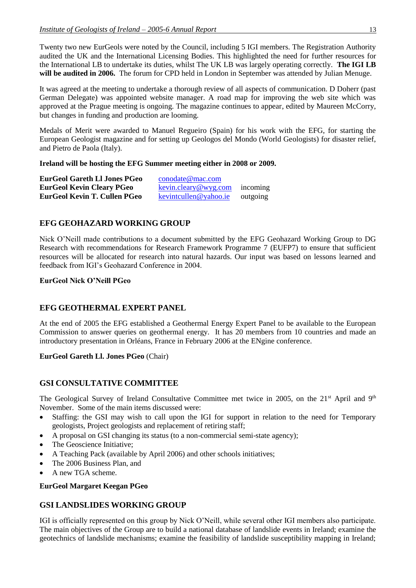Twenty two new EurGeols were noted by the Council, including 5 IGI members. The Registration Authority audited the UK and the International Licensing Bodies. This highlighted the need for further resources for the International LB to undertake its duties, whilst The UK LB was largely operating correctly. **The IGI LB will be audited in 2006.** The forum for CPD held in London in September was attended by Julian Menuge.

It was agreed at the meeting to undertake a thorough review of all aspects of communication. D Doherr (past German Delegate) was appointed website manager. A road map for improving the web site which was approved at the Prague meeting is ongoing. The magazine continues to appear, edited by Maureen McCorry, but changes in funding and production are looming.

Medals of Merit were awarded to Manuel Regueiro (Spain) for his work with the EFG, for starting the European Geologist magazine and for setting up Geologos del Mondo (World Geologists) for disaster relief, and Pietro de Paola (Italy).

#### **Ireland will be hosting the EFG Summer meeting either in 2008 or 2009.**

| <b>EurGeol Gareth LI Jones PGeo</b> | $\frac{\text{conodate}\,\omega\text{mac.com}}{2}$            |          |
|-------------------------------------|--------------------------------------------------------------|----------|
| <b>EurGeol Kevin Cleary PGeo</b>    | $\frac{kevin.cleary@wyg.com}{kevin.cleary@wyg.com}$ incoming |          |
| EurGeol Kevin T. Cullen PGeo        | kevintcullen@yahoo.ie                                        | outgoing |

### **EFG GEOHAZARD WORKING GROUP**

Nick O'Neill made contributions to a document submitted by the EFG Geohazard Working Group to DG Research with recommendations for Research Framework Programme 7 (EUFP7) to ensure that sufficient resources will be allocated for research into natural hazards. Our input was based on lessons learned and feedback from IGI's Geohazard Conference in 2004.

### **EurGeol Nick O'Neill PGeo**

### **EFG GEOTHERMAL EXPERT PANEL**

At the end of 2005 the EFG established a Geothermal Energy Expert Panel to be available to the European Commission to answer queries on geothermal energy. It has 20 members from 10 countries and made an introductory presentation in Orléans, France in February 2006 at the ENgine conference.

**EurGeol Gareth Ll. Jones PGeo** (Chair)

### **GSI CONSULTATIVE COMMITTEE**

The Geological Survey of Ireland Consultative Committee met twice in 2005, on the 21<sup>st</sup> April and 9<sup>th</sup> November. Some of the main items discussed were:

- Staffing: the GSI may wish to call upon the IGI for support in relation to the need for Temporary geologists, Project geologists and replacement of retiring staff;
- A proposal on GSI changing its status (to a non-commercial semi-state agency);
- The Geoscience Initiative;
- A Teaching Pack (available by April 2006) and other schools initiatives;
- The 2006 Business Plan, and
- A new TGA scheme.

#### **EurGeol Margaret Keegan PGeo**

### **GSI LANDSLIDES WORKING GROUP**

IGI is officially represented on this group by Nick O'Neill, while several other IGI members also participate. The main objectives of the Group are to build a national database of landslide events in Ireland; examine the geotechnics of landslide mechanisms; examine the feasibility of landslide susceptibility mapping in Ireland;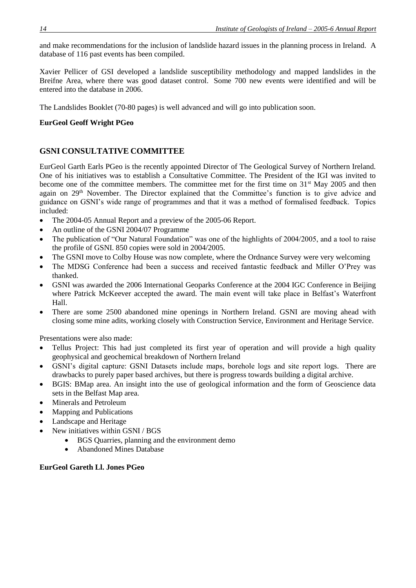and make recommendations for the inclusion of landslide hazard issues in the planning process in Ireland. A database of 116 past events has been compiled.

Xavier Pellicer of GSI developed a landslide susceptibility methodology and mapped landslides in the Breifne Area, where there was good dataset control. Some 700 new events were identified and will be entered into the database in 2006.

The Landslides Booklet (70-80 pages) is well advanced and will go into publication soon.

### **EurGeol Geoff Wright PGeo**

# **GSNI CONSULTATIVE COMMITTEE**

EurGeol Garth Earls PGeo is the recently appointed Director of The Geological Survey of Northern Ireland. One of his initiatives was to establish a Consultative Committee. The President of the IGI was invited to become one of the committee members. The committee met for the first time on 31<sup>st</sup> May 2005 and then again on 29<sup>th</sup> November. The Director explained that the Committee's function is to give advice and guidance on GSNI's wide range of programmes and that it was a method of formalised feedback. Topics included:

- The 2004-05 Annual Report and a preview of the 2005-06 Report.
- An outline of the GSNI 2004/07 Programme
- The publication of "Our Natural Foundation" was one of the highlights of 2004/2005, and a tool to raise the profile of GSNI. 850 copies were sold in 2004/2005.
- The GSNI move to Colby House was now complete, where the Ordnance Survey were very welcoming
- The MDSG Conference had been a success and received fantastic feedback and Miller O'Prey was thanked.
- GSNI was awarded the 2006 International Geoparks Conference at the 2004 IGC Conference in Beijing where Patrick McKeever accepted the award. The main event will take place in Belfast's Waterfront Hall.
- There are some 2500 abandoned mine openings in Northern Ireland. GSNI are moving ahead with closing some mine adits, working closely with Construction Service, Environment and Heritage Service.

Presentations were also made:

- Tellus Project: This had just completed its first year of operation and will provide a high quality geophysical and geochemical breakdown of Northern Ireland
- GSNI's digital capture: GSNI Datasets include maps, borehole logs and site report logs. There are drawbacks to purely paper based archives, but there is progress towards building a digital archive.
- BGIS: BMap area. An insight into the use of geological information and the form of Geoscience data sets in the Belfast Map area.
- Minerals and Petroleum
- Mapping and Publications
- Landscape and Heritage
- New initiatives within GSNI / BGS
	- BGS Quarries, planning and the environment demo
	- Abandoned Mines Database

### **EurGeol Gareth Ll. Jones PGeo**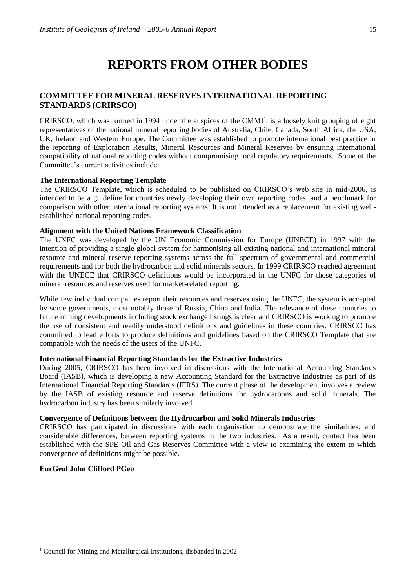# **REPORTS FROM OTHER BODIES**

# **COMMITTEE FOR MINERAL RESERVES INTERNATIONAL REPORTING STANDARDS (CRIRSCO)**

 $CRIRSCO$ , which was formed in 1994 under the auspices of the  $CMMI<sup>1</sup>$ , is a loosely knit grouping of eight representatives of the national mineral reporting bodies of Australia, Chile, Canada, South Africa, the USA, UK, Ireland and Western Europe. The Committee was established to promote international best practice in the reporting of Exploration Results, Mineral Resources and Mineral Reserves by ensuring international compatibility of national reporting codes without compromising local regulatory requirements. Some of the Committee's current activities include:

### **The International Reporting Template**

The CRIRSCO Template, which is scheduled to be published on CRIRSCO's web site in mid-2006, is intended to be a guideline for countries newly developing their own reporting codes, and a benchmark for comparison with other international reporting systems. It is not intended as a replacement for existing wellestablished national reporting codes.

### **Alignment with the United Nations Framework Classification**

The UNFC was developed by the UN Economic Commission for Europe (UNECE) in 1997 with the intention of providing a single global system for harmonising all existing national and international mineral resource and mineral reserve reporting systems across the full spectrum of governmental and commercial requirements and for both the hydrocarbon and solid minerals sectors. In 1999 CRIRSCO reached agreement with the UNECE that CRIRSCO definitions would be incorporated in the UNFC for those categories of mineral resources and reserves used for market-related reporting.

While few individual companies report their resources and reserves using the UNFC, the system is accepted by some governments, most notably those of Russia, China and India. The relevance of these countries to future mining developments including stock exchange listings is clear and CRIRSCO is working to promote the use of consistent and readily understood definitions and guidelines in these countries. CRIRSCO has committed to lead efforts to produce definitions and guidelines based on the CRIRSCO Template that are compatible with the needs of the users of the UNFC.

#### **International Financial Reporting Standards for the Extractive Industries**

During 2005, CRIRSCO has been involved in discussions with the International Accounting Standards Board (IASB), which is developing a new Accounting Standard for the Extractive Industries as part of its International Financial Reporting Standards (IFRS). The current phase of the development involves a review by the IASB of existing resource and reserve definitions for hydrocarbons and solid minerals. The hydrocarbon industry has been similarly involved.

### **Convergence of Definitions between the Hydrocarbon and Solid Minerals Industries**

CRIRSCO has participated in discussions with each organisation to demonstrate the similarities, and considerable differences, between reporting systems in the two industries. As a result, contact has been established with the SPE Oil and Gas Reserves Committee with a view to examining the extent to which convergence of definitions might be possible.

#### **EurGeol John Clifford PGeo**

l

<sup>1</sup> Council for Mining and Metallurgical Institutions, disbanded in 2002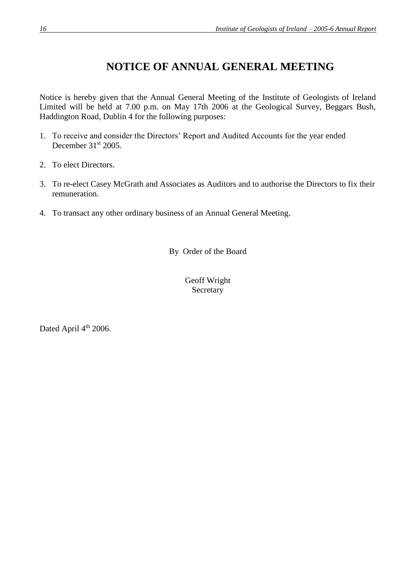# **NOTICE OF ANNUAL GENERAL MEETING**

Notice is hereby given that the Annual General Meeting of the Institute of Geologists of Ireland Limited will be held at 7.00 p.m. on May 17th 2006 at the Geological Survey, Beggars Bush, Haddington Road, Dublin 4 for the following purposes:

- 1. To receive and consider the Directors' Report and Audited Accounts for the year ended December 31<sup>st</sup> 2005.
- 2. To elect Directors.
- 3. To re-elect Casey McGrath and Associates as Auditors and to authorise the Directors to fix their remuneration.
- 4. To transact any other ordinary business of an Annual General Meeting.

By Order of the Board

Geoff Wright Secretary

Dated April 4<sup>th</sup> 2006.